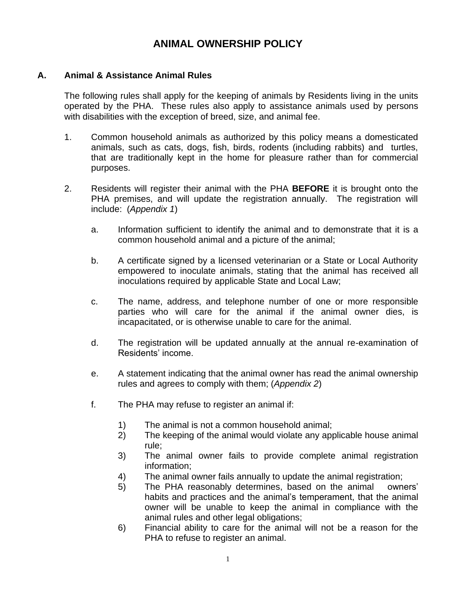# **ANIMAL OWNERSHIP POLICY**

#### **A. Animal & Assistance Animal Rules**

The following rules shall apply for the keeping of animals by Residents living in the units operated by the PHA. These rules also apply to assistance animals used by persons with disabilities with the exception of breed, size, and animal fee.

- 1. Common household animals as authorized by this policy means a domesticated animals, such as cats, dogs, fish, birds, rodents (including rabbits) and turtles, that are traditionally kept in the home for pleasure rather than for commercial purposes.
- 2. Residents will register their animal with the PHA **BEFORE** it is brought onto the PHA premises, and will update the registration annually. The registration will include: (*Appendix 1*)
	- a. Information sufficient to identify the animal and to demonstrate that it is a common household animal and a picture of the animal;
	- b. A certificate signed by a licensed veterinarian or a State or Local Authority empowered to inoculate animals, stating that the animal has received all inoculations required by applicable State and Local Law;
	- c. The name, address, and telephone number of one or more responsible parties who will care for the animal if the animal owner dies, is incapacitated, or is otherwise unable to care for the animal.
	- d. The registration will be updated annually at the annual re-examination of Residents' income.
	- e. A statement indicating that the animal owner has read the animal ownership rules and agrees to comply with them; (*Appendix 2*)
	- f. The PHA may refuse to register an animal if:
		- 1) The animal is not a common household animal;
		- 2) The keeping of the animal would violate any applicable house animal rule;
		- 3) The animal owner fails to provide complete animal registration information;
		- 4) The animal owner fails annually to update the animal registration;
		- 5) The PHA reasonably determines, based on the animal owners' habits and practices and the animal's temperament, that the animal owner will be unable to keep the animal in compliance with the animal rules and other legal obligations;
		- 6) Financial ability to care for the animal will not be a reason for the PHA to refuse to register an animal.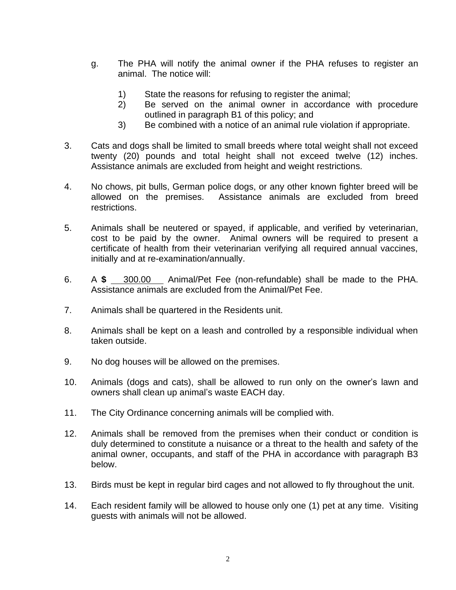- g. The PHA will notify the animal owner if the PHA refuses to register an animal. The notice will:
	- 1) State the reasons for refusing to register the animal;
	- 2) Be served on the animal owner in accordance with procedure outlined in paragraph B1 of this policy; and
	- 3) Be combined with a notice of an animal rule violation if appropriate.
- 3. Cats and dogs shall be limited to small breeds where total weight shall not exceed twenty (20) pounds and total height shall not exceed twelve (12) inches. Assistance animals are excluded from height and weight restrictions.
- 4. No chows, pit bulls, German police dogs, or any other known fighter breed will be allowed on the premises. Assistance animals are excluded from breed restrictions.
- 5. Animals shall be neutered or spayed, if applicable, and verified by veterinarian, cost to be paid by the owner. Animal owners will be required to present a certificate of health from their veterinarian verifying all required annual vaccines, initially and at re-examination/annually.
- 6. A **\$** 300.00 Animal/Pet Fee (non-refundable) shall be made to the PHA. Assistance animals are excluded from the Animal/Pet Fee.
- 7. Animals shall be quartered in the Residents unit.
- 8. Animals shall be kept on a leash and controlled by a responsible individual when taken outside.
- 9. No dog houses will be allowed on the premises.
- 10. Animals (dogs and cats), shall be allowed to run only on the owner's lawn and owners shall clean up animal's waste EACH day.
- 11. The City Ordinance concerning animals will be complied with.
- 12. Animals shall be removed from the premises when their conduct or condition is duly determined to constitute a nuisance or a threat to the health and safety of the animal owner, occupants, and staff of the PHA in accordance with paragraph B3 below.
- 13. Birds must be kept in regular bird cages and not allowed to fly throughout the unit.
- 14. Each resident family will be allowed to house only one (1) pet at any time. Visiting guests with animals will not be allowed.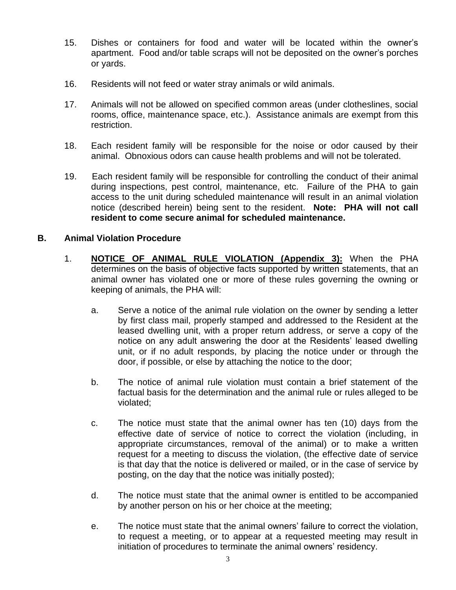- 15. Dishes or containers for food and water will be located within the owner's apartment. Food and/or table scraps will not be deposited on the owner's porches or yards.
- 16. Residents will not feed or water stray animals or wild animals.
- 17. Animals will not be allowed on specified common areas (under clotheslines, social rooms, office, maintenance space, etc.). Assistance animals are exempt from this restriction.
- 18. Each resident family will be responsible for the noise or odor caused by their animal. Obnoxious odors can cause health problems and will not be tolerated.
- 19. Each resident family will be responsible for controlling the conduct of their animal during inspections, pest control, maintenance, etc. Failure of the PHA to gain access to the unit during scheduled maintenance will result in an animal violation notice (described herein) being sent to the resident. **Note: PHA will not call resident to come secure animal for scheduled maintenance.**

# **B. Animal Violation Procedure**

- 1. **NOTICE OF ANIMAL RULE VIOLATION (Appendix 3):** When the PHA determines on the basis of objective facts supported by written statements, that an animal owner has violated one or more of these rules governing the owning or keeping of animals, the PHA will:
	- a. Serve a notice of the animal rule violation on the owner by sending a letter by first class mail, properly stamped and addressed to the Resident at the leased dwelling unit, with a proper return address, or serve a copy of the notice on any adult answering the door at the Residents' leased dwelling unit, or if no adult responds, by placing the notice under or through the door, if possible, or else by attaching the notice to the door;
	- b. The notice of animal rule violation must contain a brief statement of the factual basis for the determination and the animal rule or rules alleged to be violated;
	- c. The notice must state that the animal owner has ten (10) days from the effective date of service of notice to correct the violation (including, in appropriate circumstances, removal of the animal) or to make a written request for a meeting to discuss the violation, (the effective date of service is that day that the notice is delivered or mailed, or in the case of service by posting, on the day that the notice was initially posted);
	- d. The notice must state that the animal owner is entitled to be accompanied by another person on his or her choice at the meeting;
	- e. The notice must state that the animal owners' failure to correct the violation, to request a meeting, or to appear at a requested meeting may result in initiation of procedures to terminate the animal owners' residency.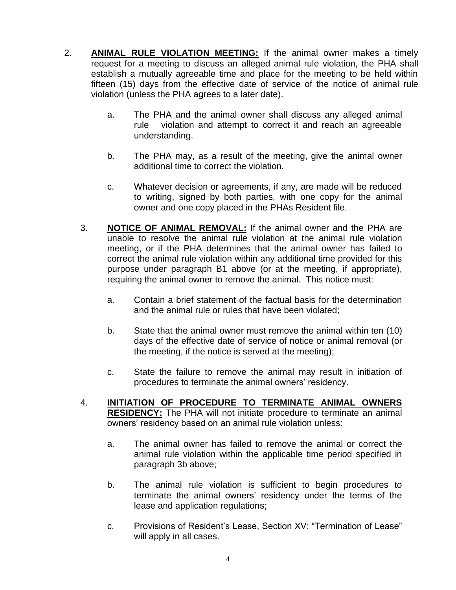- 2. **ANIMAL RULE VIOLATION MEETING:** If the animal owner makes a timely request for a meeting to discuss an alleged animal rule violation, the PHA shall establish a mutually agreeable time and place for the meeting to be held within fifteen (15) days from the effective date of service of the notice of animal rule violation (unless the PHA agrees to a later date).
	- a. The PHA and the animal owner shall discuss any alleged animal rule violation and attempt to correct it and reach an agreeable understanding.
	- b. The PHA may, as a result of the meeting, give the animal owner additional time to correct the violation.
	- c. Whatever decision or agreements, if any, are made will be reduced to writing, signed by both parties, with one copy for the animal owner and one copy placed in the PHAs Resident file.
	- 3. **NOTICE OF ANIMAL REMOVAL:** If the animal owner and the PHA are unable to resolve the animal rule violation at the animal rule violation meeting, or if the PHA determines that the animal owner has failed to correct the animal rule violation within any additional time provided for this purpose under paragraph B1 above (or at the meeting, if appropriate), requiring the animal owner to remove the animal. This notice must:
		- a. Contain a brief statement of the factual basis for the determination and the animal rule or rules that have been violated;
		- b. State that the animal owner must remove the animal within ten (10) days of the effective date of service of notice or animal removal (or the meeting, if the notice is served at the meeting);
		- c. State the failure to remove the animal may result in initiation of procedures to terminate the animal owners' residency.
	- 4. **INITIATION OF PROCEDURE TO TERMINATE ANIMAL OWNERS RESIDENCY:** The PHA will not initiate procedure to terminate an animal owners' residency based on an animal rule violation unless:
		- a. The animal owner has failed to remove the animal or correct the animal rule violation within the applicable time period specified in paragraph 3b above;
		- b. The animal rule violation is sufficient to begin procedures to terminate the animal owners' residency under the terms of the lease and application regulations;
		- c. Provisions of Resident's Lease, Section XV: "Termination of Lease" will apply in all cases.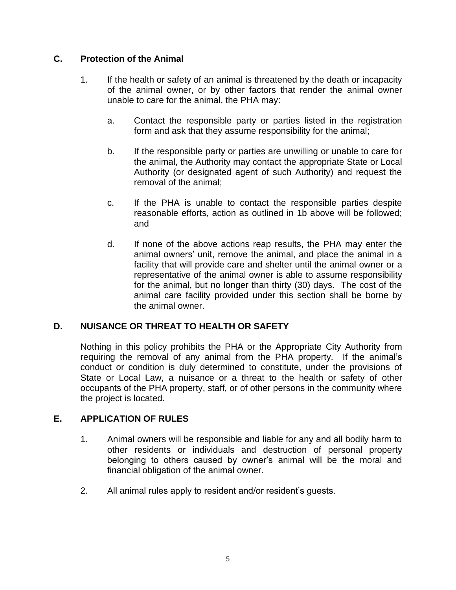# **C. Protection of the Animal**

- 1. If the health or safety of an animal is threatened by the death or incapacity of the animal owner, or by other factors that render the animal owner unable to care for the animal, the PHA may:
	- a. Contact the responsible party or parties listed in the registration form and ask that they assume responsibility for the animal;
	- b. If the responsible party or parties are unwilling or unable to care for the animal, the Authority may contact the appropriate State or Local Authority (or designated agent of such Authority) and request the removal of the animal;
	- c. If the PHA is unable to contact the responsible parties despite reasonable efforts, action as outlined in 1b above will be followed; and
	- d. If none of the above actions reap results, the PHA may enter the animal owners' unit, remove the animal, and place the animal in a facility that will provide care and shelter until the animal owner or a representative of the animal owner is able to assume responsibility for the animal, but no longer than thirty (30) days. The cost of the animal care facility provided under this section shall be borne by the animal owner.

#### **D. NUISANCE OR THREAT TO HEALTH OR SAFETY**

Nothing in this policy prohibits the PHA or the Appropriate City Authority from requiring the removal of any animal from the PHA property. If the animal's conduct or condition is duly determined to constitute, under the provisions of State or Local Law, a nuisance or a threat to the health or safety of other occupants of the PHA property, staff, or of other persons in the community where the project is located.

#### **E. APPLICATION OF RULES**

- 1. Animal owners will be responsible and liable for any and all bodily harm to other residents or individuals and destruction of personal property belonging to others caused by owner's animal will be the moral and financial obligation of the animal owner.
- 2. All animal rules apply to resident and/or resident's guests.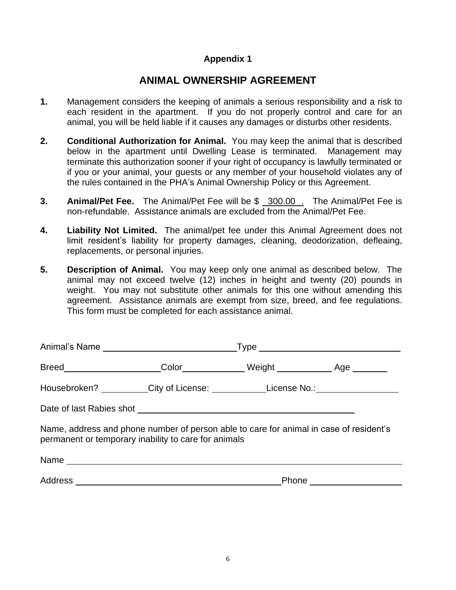# **Appendix 1**

# **ANIMAL OWNERSHIP AGREEMENT**

- **1.** Management considers the keeping of animals a serious responsibility and a risk to each resident in the apartment. If you do not properly control and care for an animal, you will be held liable if it causes any damages or disturbs other residents.
- **2. Conditional Authorization for Animal.** You may keep the animal that is described below in the apartment until Dwelling Lease is terminated. Management may terminate this authorization sooner if your right of occupancy is lawfully terminated or if you or your animal, your guests or any member of your household violates any of the rules contained in the PHA's Animal Ownership Policy or this Agreement.
- **3. Animal/Pet Fee.** The Animal/Pet Fee will be \$ 300.00 . The Animal/Pet Fee is non-refundable. Assistance animals are excluded from the Animal/Pet Fee.
- **4. Liability Not Limited.** The animal/pet fee under this Animal Agreement does not limit resident's liability for property damages, cleaning, deodorization, defleaing, replacements, or personal injuries.
- **5. Description of Animal.** You may keep only one animal as described below. The animal may not exceed twelve (12) inches in height and twenty (20) pounds in weight. You may not substitute other animals for this one without amending this agreement. Assistance animals are exempt from size, breed, and fee regulations. This form must be completed for each assistance animal.

|                                                                                                                                                | Housebroken? _________City of License: _____________License No.: _______________ |  |  |
|------------------------------------------------------------------------------------------------------------------------------------------------|----------------------------------------------------------------------------------|--|--|
|                                                                                                                                                |                                                                                  |  |  |
| Name, address and phone number of person able to care for animal in case of resident's<br>permanent or temporary inability to care for animals |                                                                                  |  |  |
|                                                                                                                                                |                                                                                  |  |  |
|                                                                                                                                                |                                                                                  |  |  |
|                                                                                                                                                |                                                                                  |  |  |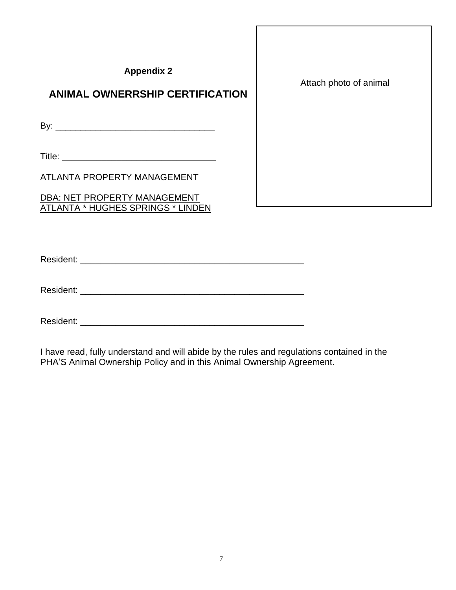| <b>Appendix 2</b><br><b>ANIMAL OWNERRSHIP CERTIFICATION</b>                     | Attach photo of animal |
|---------------------------------------------------------------------------------|------------------------|
|                                                                                 |                        |
|                                                                                 |                        |
| ATLANTA PROPERTY MANAGEMENT                                                     |                        |
| <b>DBA: NET PROPERTY MANAGEMENT</b><br>ATLANTA * HUGHES <u>SPRINGS * LINDEN</u> |                        |

Resident: \_\_\_\_\_\_\_\_\_\_\_\_\_\_\_\_\_\_\_\_\_\_\_\_\_\_\_\_\_\_\_\_\_\_\_\_\_\_\_\_\_\_\_\_\_

Resident: \_\_\_\_\_\_\_\_\_\_\_\_\_\_\_\_\_\_\_\_\_\_\_\_\_\_\_\_\_\_\_\_\_\_\_\_\_\_\_\_\_\_\_\_\_

Resident: \_\_\_\_\_\_\_\_\_\_\_\_\_\_\_\_\_\_\_\_\_\_\_\_\_\_\_\_\_\_\_\_\_\_\_\_\_\_\_\_\_\_\_\_\_

I have read, fully understand and will abide by the rules and regulations contained in the PHA'S Animal Ownership Policy and in this Animal Ownership Agreement.